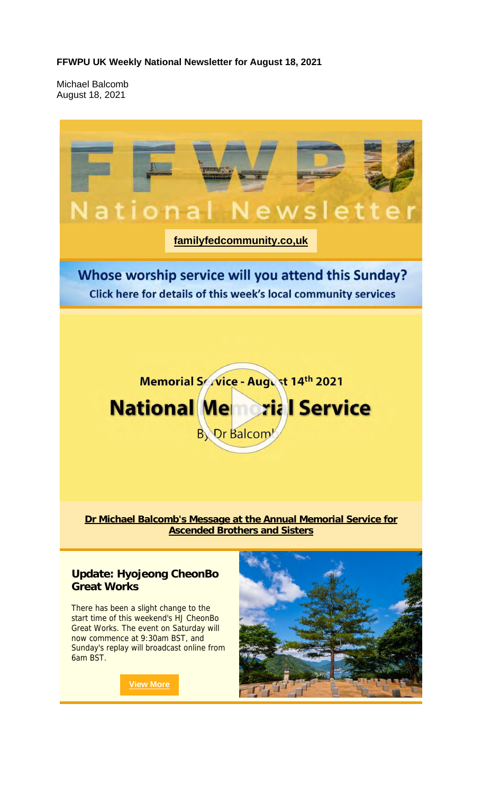#### **FFWPU UK Weekly National Newsletter for August 18, 2021**

Michael Balcomb August 18, 2021

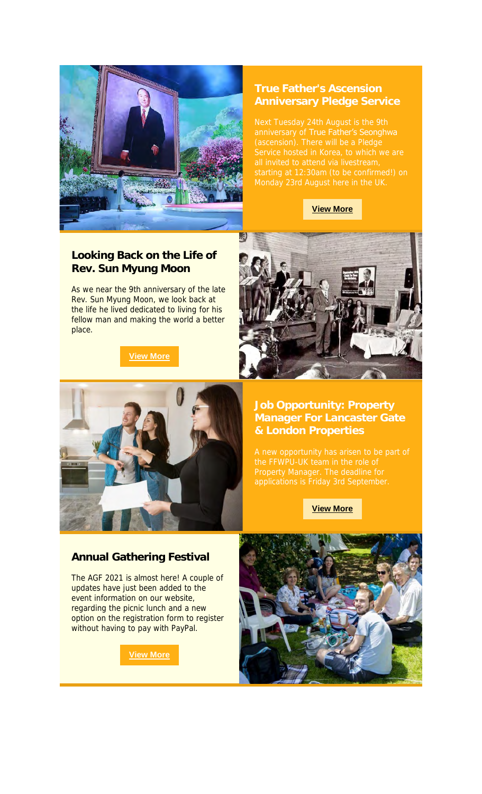

# **True Father's Ascension**

anniversary of True Father's Seonghwa

**View More**

#### **Looking Back on the Life of Rev. Sun Myung Moon**

As we near the 9th anniversary of the late Rev. Sun Myung Moon, we look back at the life he lived dedicated to living for his fellow man and making the world a better place.

**View More**





### **Manager For Lancaster Gate & London Properties**

**View More**

#### **Annual Gathering Festival**

The AGF 2021 is almost here! A couple of updates have just been added to the event information on our website, regarding the picnic lunch and a new option on the registration form to register without having to pay with PayPal.

**View More**

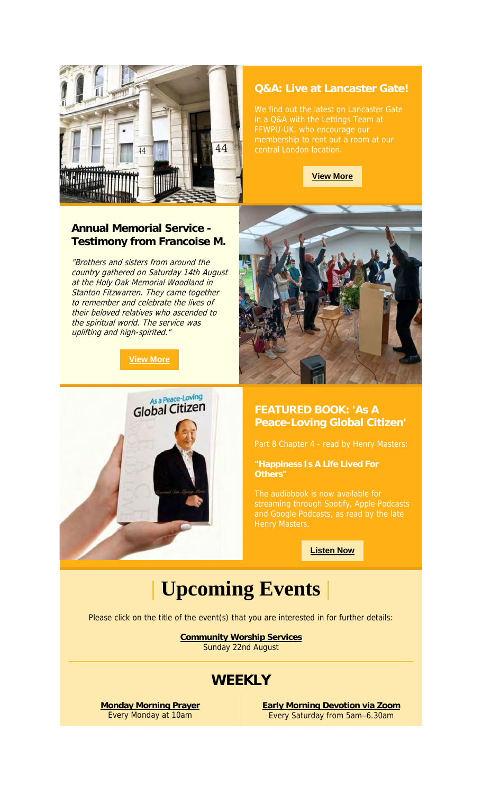

#### **Q&A: Live at Lancaster Gate!**



#### **Annual Memorial Service - Testimony from Francoise M.**

"Brothers and sisters from around the country gathered on Saturday 14th August at the Holy Oak Memorial Woodland in Stanton Fitzwarren. They came together to remember and celebrate the lives of their beloved relatives who ascended to the spiritual world. The service was uplifting and high-spirited."







## **FEATURED BOOK: 'As A**

**"Happiness Is A Life Lived For** 

**Listen Now**

## **| Upcoming Events |**

Please click on the title of the event(s) that you are interested in for further details:

**Community Worship Services** Sunday 22nd August

### **WEEKLY**

**Monday Morning Prayer** Every Monday at 10am

**Early Morning Devotion via Zoom** Every Saturday from 5am–6.30am